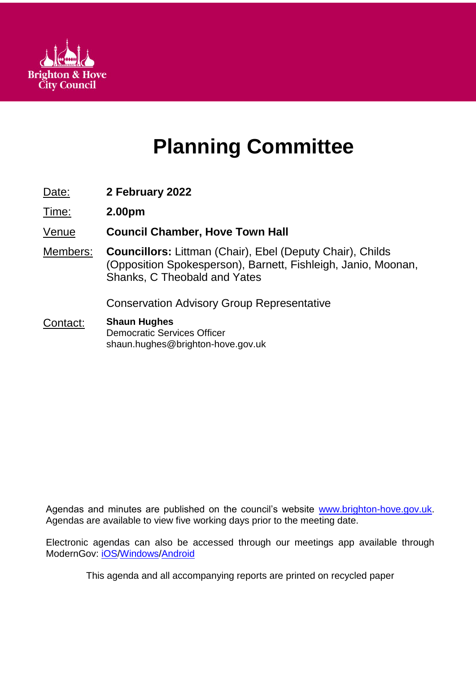

# **Planning Committee**

- Date: **2 February 2022**
- Time: **2.00pm**

Venue **Council Chamber, Hove Town Hall**

Members: **Councillors:** Littman (Chair), Ebel (Deputy Chair), Childs (Opposition Spokesperson), Barnett, Fishleigh, Janio, Moonan, Shanks, C Theobald and Yates

Conservation Advisory Group Representative

Contact: **Shaun Hughes** Democratic Services Officer shaun.hughes@brighton-hove.gov.uk

Agendas and minutes are published on the council's website [www.brighton-hove.gov.uk.](http://www.brighton-hove.gov.uk/) Agendas are available to view five working days prior to the meeting date.

Electronic agendas can also be accessed through our meetings app available through ModernGov: [iOS](https://play.google.com/store/apps/details?id=uk.co.moderngov.modgov&hl=en_GB)[/Windows/](https://www.microsoft.com/en-gb/p/modgov/9nblggh0c7s7#activetab=pivot:overviewtab)[Android](https://play.google.com/store/apps/details?id=uk.co.moderngov.modgov&hl=en_GB)

This agenda and all accompanying reports are printed on recycled paper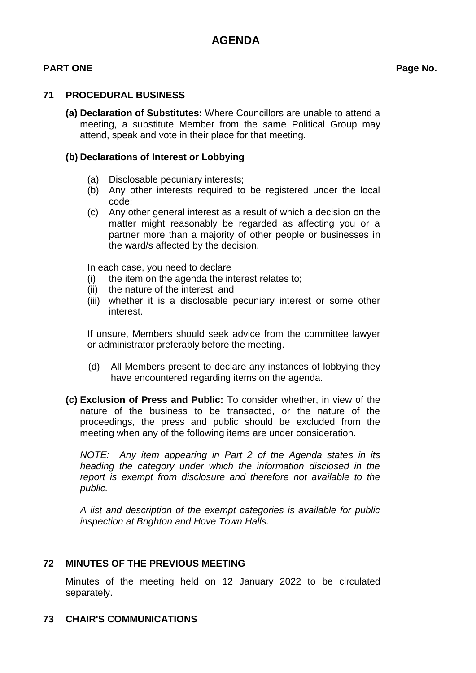#### **PART ONE Page No.**

#### **71 PROCEDURAL BUSINESS**

**(a) Declaration of Substitutes:** Where Councillors are unable to attend a meeting, a substitute Member from the same Political Group may attend, speak and vote in their place for that meeting.

#### **(b) Declarations of Interest or Lobbying**

- (a) Disclosable pecuniary interests;
- (b) Any other interests required to be registered under the local code;
- (c) Any other general interest as a result of which a decision on the matter might reasonably be regarded as affecting you or a partner more than a majority of other people or businesses in the ward/s affected by the decision.

In each case, you need to declare

- (i) the item on the agenda the interest relates to;
- (ii) the nature of the interest; and
- (iii) whether it is a disclosable pecuniary interest or some other interest.

If unsure, Members should seek advice from the committee lawyer or administrator preferably before the meeting.

- (d) All Members present to declare any instances of lobbying they have encountered regarding items on the agenda.
- **(c) Exclusion of Press and Public:** To consider whether, in view of the nature of the business to be transacted, or the nature of the proceedings, the press and public should be excluded from the meeting when any of the following items are under consideration.

*NOTE: Any item appearing in Part 2 of the Agenda states in its heading the category under which the information disclosed in the report is exempt from disclosure and therefore not available to the public.*

*A list and description of the exempt categories is available for public inspection at Brighton and Hove Town Halls.*

#### **72 MINUTES OF THE PREVIOUS MEETING**

Minutes of the meeting held on 12 January 2022 to be circulated separately.

### **73 CHAIR'S COMMUNICATIONS**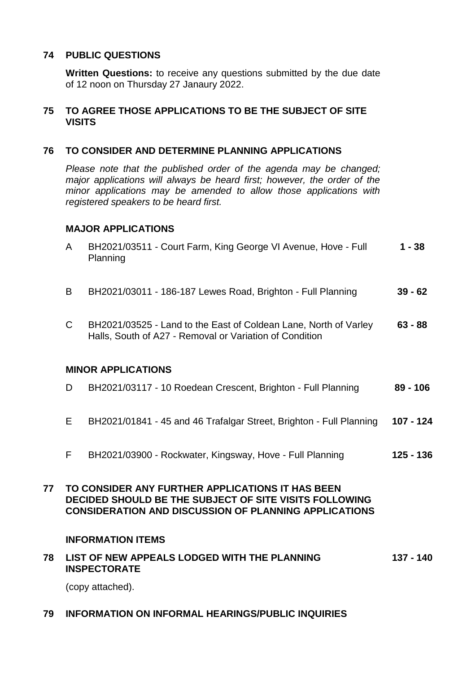#### **74 PUBLIC QUESTIONS**

**Written Questions:** to receive any questions submitted by the due date of 12 noon on Thursday 27 Janaury 2022.

#### **75 TO AGREE THOSE APPLICATIONS TO BE THE SUBJECT OF SITE VISITS**

#### **76 TO CONSIDER AND DETERMINE PLANNING APPLICATIONS**

*Please note that the published order of the agenda may be changed; major applications will always be heard first; however, the order of the minor applications may be amended to allow those applications with registered speakers to be heard first.*

#### **MAJOR APPLICATIONS**

|    | $\mathsf{A}$              | BH2021/03511 - Court Farm, King George VI Avenue, Hove - Full<br>Planning                                                                                                  | $1 - 38$    |  |
|----|---------------------------|----------------------------------------------------------------------------------------------------------------------------------------------------------------------------|-------------|--|
|    | B                         | BH2021/03011 - 186-187 Lewes Road, Brighton - Full Planning                                                                                                                | $39 - 62$   |  |
|    | $\mathsf{C}$              | BH2021/03525 - Land to the East of Coldean Lane, North of Varley<br>Halls, South of A27 - Removal or Variation of Condition                                                | $63 - 88$   |  |
|    | <b>MINOR APPLICATIONS</b> |                                                                                                                                                                            |             |  |
|    | D.                        | BH2021/03117 - 10 Roedean Crescent, Brighton - Full Planning                                                                                                               | $89 - 106$  |  |
|    | E                         | BH2021/01841 - 45 and 46 Trafalgar Street, Brighton - Full Planning                                                                                                        | $107 - 124$ |  |
|    | F                         | BH2021/03900 - Rockwater, Kingsway, Hove - Full Planning                                                                                                                   | 125 - 136   |  |
| 77 |                           | TO CONSIDER ANY FURTHER APPLICATIONS IT HAS BEEN<br>DECIDED SHOULD BE THE SUBJECT OF SITE VISITS FOLLOWING<br><b>CONSIDERATION AND DISCUSSION OF PLANNING APPLICATIONS</b> |             |  |

#### **INFORMATION ITEMS**

#### **78 LIST OF NEW APPEALS LODGED WITH THE PLANNING INSPECTORATE 137 - 140**

(copy attached).

#### **79 INFORMATION ON INFORMAL HEARINGS/PUBLIC INQUIRIES**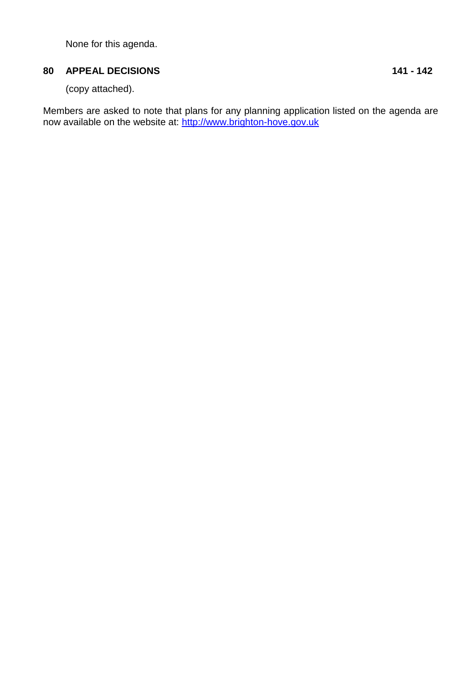None for this agenda.

## **80 APPEAL DECISIONS 141 - 142**

(copy attached).

Members are asked to note that plans for any planning application listed on the agenda are now available on the website at: [http://www.brighton-hove.gov.uk](http://www.brighton-hove.gov.uk/index.cfm?request=c1199915)